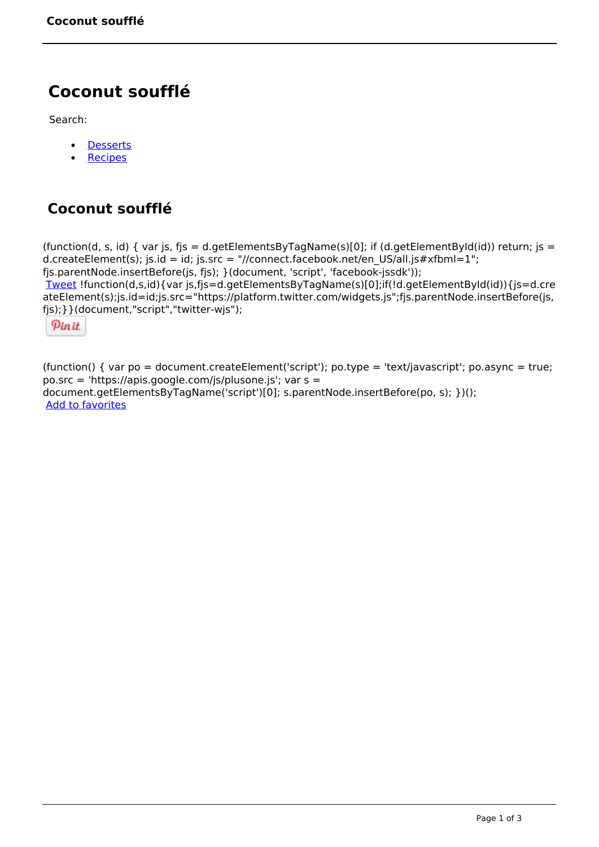# **Coconut soufflé**

Search:

- **[Desserts](https://www.naturalhealthmag.com.au/nourish/desserts)**  $\bullet$
- **[Recipes](https://www.naturalhealthmag.com.au/nourish/recipes)**

## **Coconut soufflé**

(function(d, s, id) { var js, fjs = d.getElementsByTagName(s)[0]; if (d.getElementById(id)) return; js = d.createElement(s); js.id = id; js.src = "//connect.facebook.net/en\_US/all.js#xfbml=1"; fjs.parentNode.insertBefore(js, fjs); }(document, 'script', 'facebook-jssdk')); [Tweet](https://twitter.com/share) !function(d,s,id){var js,fjs=d.getElementsByTagName(s)[0];if(!d.getElementById(id)){js=d.cre ateElement(s);js.id=id;js.src="https://platform.twitter.com/widgets.js";fjs.parentNode.insertBefore(js, fjs);}}(document,"script","twitter-wjs");

Pinit

(function() { var po = document.createElement('script'); po.type = 'text/javascript'; po.async = true; po.src = 'https://apis.google.com/js/plusone.js'; var s = document.getElementsByTagName('script')[0]; s.parentNode.insertBefore(po, s); })(); Add to favorites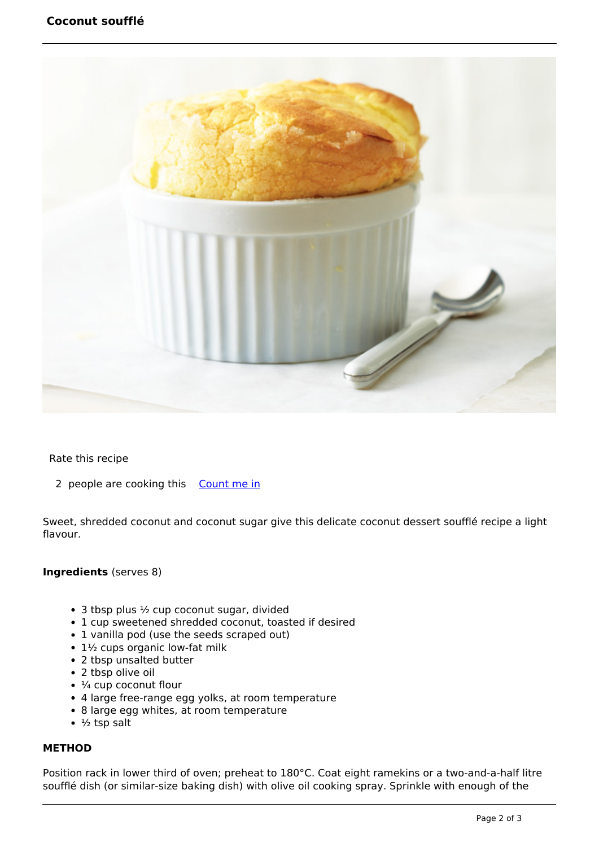

Rate this recipe

2 people are cooking this [Count me in](https://www.naturalhealthmag.com.au/flag/flag/favorites/826?destination=printpdf%2F826&token=b951833d6fe44264cf04be9a26733584)

Sweet, shredded coconut and coconut sugar give this delicate coconut dessert soufflé recipe a light flavour.

#### **Ingredients** (serves 8)

- $\bullet$  3 tbsp plus  $\frac{1}{2}$  cup coconut sugar, divided
- 1 cup sweetened shredded coconut, toasted if desired
- 1 vanilla pod (use the seeds scraped out)
- 1½ cups organic low-fat milk
- 2 tbsp unsalted butter
- 2 tbsp olive oil
- $\cdot$   $\frac{1}{4}$  cup coconut flour
- 4 large free-range egg yolks, at room temperature
- 8 large egg whites, at room temperature
- $\cdot$  ½ tsp salt

### **METHOD**

Position rack in lower third of oven; preheat to 180°C. Coat eight ramekins or a two-and-a-half litre soufflé dish (or similar-size baking dish) with olive oil cooking spray. Sprinkle with enough of the